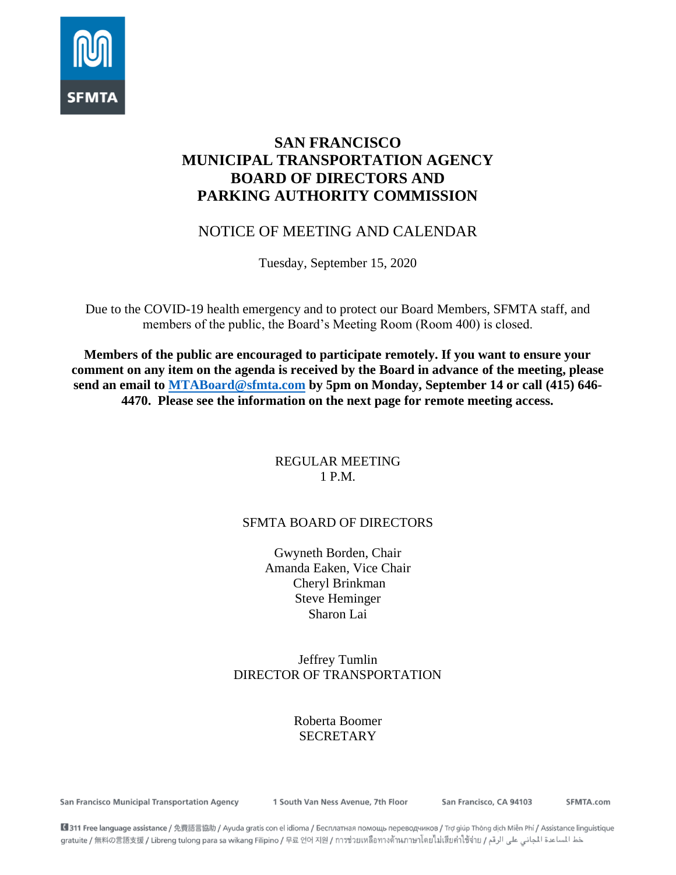

# **SAN FRANCISCO MUNICIPAL TRANSPORTATION AGENCY BOARD OF DIRECTORS AND PARKING AUTHORITY COMMISSION**

# NOTICE OF MEETING AND CALENDAR

Tuesday, September 15, 2020

Due to the COVID-19 health emergency and to protect our Board Members, SFMTA staff, and members of the public, the Board's Meeting Room (Room 400) is closed.

**Members of the public are encouraged to participate remotely. If you want to ensure your comment on any item on the agenda is received by the Board in advance of the meeting, please send an email to [MTABoard@sfmta.com](mailto:MTABoard@sfmta.com) by 5pm on Monday, September 14 or call (415) 646- 4470. Please see the information on the next page for remote meeting access.** 

### REGULAR MEETING 1 P.M.

# SFMTA BOARD OF DIRECTORS

Gwyneth Borden, Chair Amanda Eaken, Vice Chair Cheryl Brinkman Steve Heminger Sharon Lai

# Jeffrey Tumlin DIRECTOR OF TRANSPORTATION

# Roberta Boomer **SECRETARY**

San Francisco Municipal Transportation Agency

1 South Van Ness Avenue, 7th Floor

San Francisco, CA 94103

SFMTA.com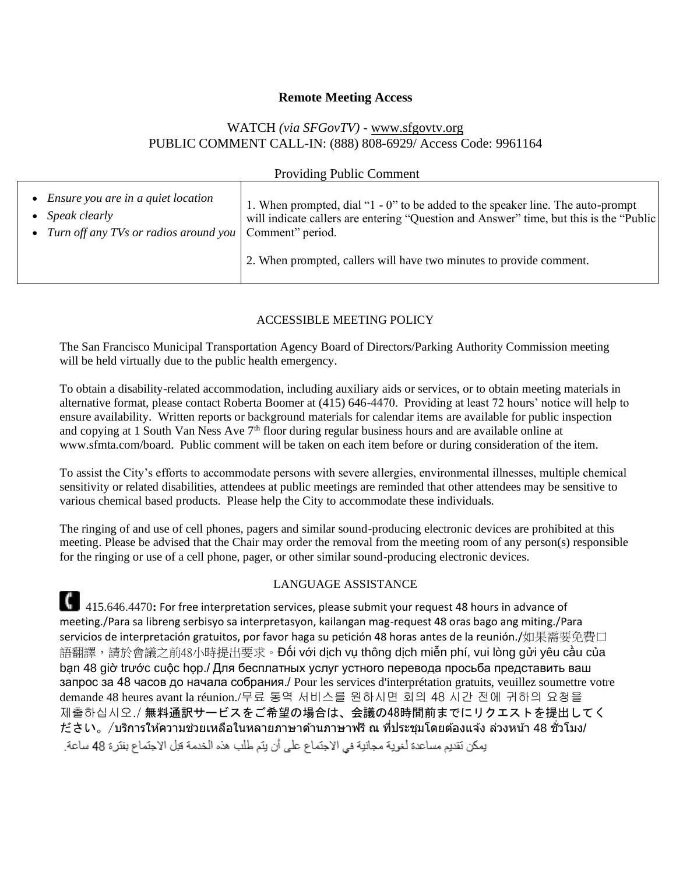#### **Remote Meeting Access**

### WATCH *(via SFGovTV) -* [www.sfgovtv.org](http://www.sfgovtv.org/) PUBLIC COMMENT CALL-IN: (888) 808-6929/ Access Code: 9961164

| <b>Providing Public Comment</b>                            |                                                                                        |
|------------------------------------------------------------|----------------------------------------------------------------------------------------|
| • Ensure you are in a quiet location                       | 1. When prompted, dial "1 - 0" to be added to the speaker line. The auto-prompt        |
| • Speak clearly                                            | will indicate callers are entering "Question and Answer" time, but this is the "Public |
| • Turn off any TVs or radios around you   Comment" period. | 2. When prompted, callers will have two minutes to provide comment.                    |

#### ACCESSIBLE MEETING POLICY

The San Francisco Municipal Transportation Agency Board of Directors/Parking Authority Commission meeting will be held virtually due to the public health emergency.

To obtain a disability-related accommodation, including auxiliary aids or services, or to obtain meeting materials in alternative format, please contact Roberta Boomer at (415) 646-4470. Providing at least 72 hours' notice will help to ensure availability. Written reports or background materials for calendar items are available for public inspection and copying at 1 South Van Ness Ave 7<sup>th</sup> floor during regular business hours and are available online at www.sfmta.com/board. Public comment will be taken on each item before or during consideration of the item.

To assist the City's efforts to accommodate persons with severe allergies, environmental illnesses, multiple chemical sensitivity or related disabilities, attendees at public meetings are reminded that other attendees may be sensitive to various chemical based products. Please help the City to accommodate these individuals.

The ringing of and use of cell phones, pagers and similar sound-producing electronic devices are prohibited at this meeting. Please be advised that the Chair may order the removal from the meeting room of any person(s) responsible for the ringing or use of a cell phone, pager, or other similar sound-producing electronic devices.

#### LANGUAGE ASSISTANCE

415.646.4470: For free interpretation services, please submit your request 48 hours in advance of meeting./Para sa libreng serbisyo sa interpretasyon, kailangan mag-request 48 oras bago ang miting./Para servicios de interpretación gratuitos, por favor haga su petición 48 horas antes de la reunión./如果需要免費口 語翻譯,請於會議之前48小時提出要求。Đối với dịch vụ thông dịch miễn phí, vui lòng gửi yêu cầu của bạn 48 giờ trước cuộc họp./ Для бесплатных услуг устного перевода просьба представить ваш запрос за 48 часов до начала собрания./ Pour les services d'interprétation gratuits, veuillez soumettre votre demande 48 heures avant la réunion./무료 통역 서비스를 원하시면 회의 48 시간 전에 귀하의 요청을 제출하십시오./ 無料通訳サービスをご希望の場合は、会議の48時間前までにリクエストを提出してく ださい。/บรกิ ารใหค้ วามชว่ ยเหลอื ในหลายภาษาดา้นภาษาฟรีณ ที่ประชุมโดยต ้องแจ ้ง ล่วงหน้า 48 ชั่วโมง/يمكن نَقديم مساعدة لغوية مجانية في الاجتماع على أن يتم طلب هذه الخدمة فيل الاجتماع بفترة 48 ساعة.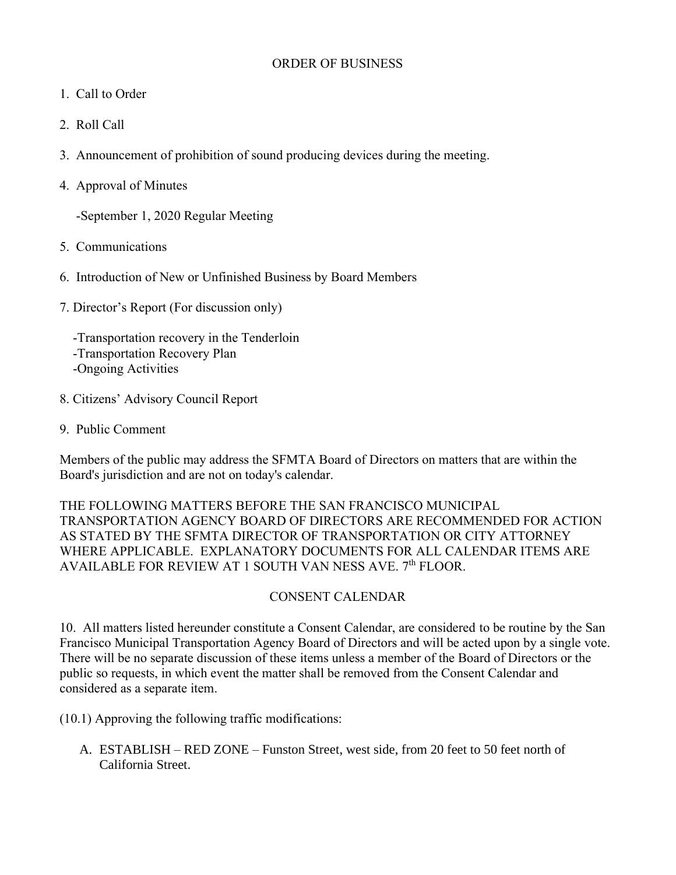### ORDER OF BUSINESS

- 1. Call to Order
- 2. Roll Call
- 3. Announcement of prohibition of sound producing devices during the meeting.
- 4. Approval of Minutes

-September 1, 2020 Regular Meeting

- 5. Communications
- 6. Introduction of New or Unfinished Business by Board Members
- 7. Director's Report (For discussion only)

 -Transportation recovery in the Tenderloin -Transportation Recovery Plan -Ongoing Activities

- 8. Citizens' Advisory Council Report
- 9. Public Comment

Members of the public may address the SFMTA Board of Directors on matters that are within the Board's jurisdiction and are not on today's calendar.

THE FOLLOWING MATTERS BEFORE THE SAN FRANCISCO MUNICIPAL TRANSPORTATION AGENCY BOARD OF DIRECTORS ARE RECOMMENDED FOR ACTION AS STATED BY THE SFMTA DIRECTOR OF TRANSPORTATION OR CITY ATTORNEY WHERE APPLICABLE. EXPLANATORY DOCUMENTS FOR ALL CALENDAR ITEMS ARE AVAILABLE FOR REVIEW AT 1 SOUTH VAN NESS AVE. 7<sup>th</sup> FLOOR.

### CONSENT CALENDAR

10. All matters listed hereunder constitute a Consent Calendar, are considered to be routine by the San Francisco Municipal Transportation Agency Board of Directors and will be acted upon by a single vote. There will be no separate discussion of these items unless a member of the Board of Directors or the public so requests, in which event the matter shall be removed from the Consent Calendar and considered as a separate item.

(10.1) Approving the following traffic modifications:

A. ESTABLISH – RED ZONE – Funston Street, west side, from 20 feet to 50 feet north of California Street.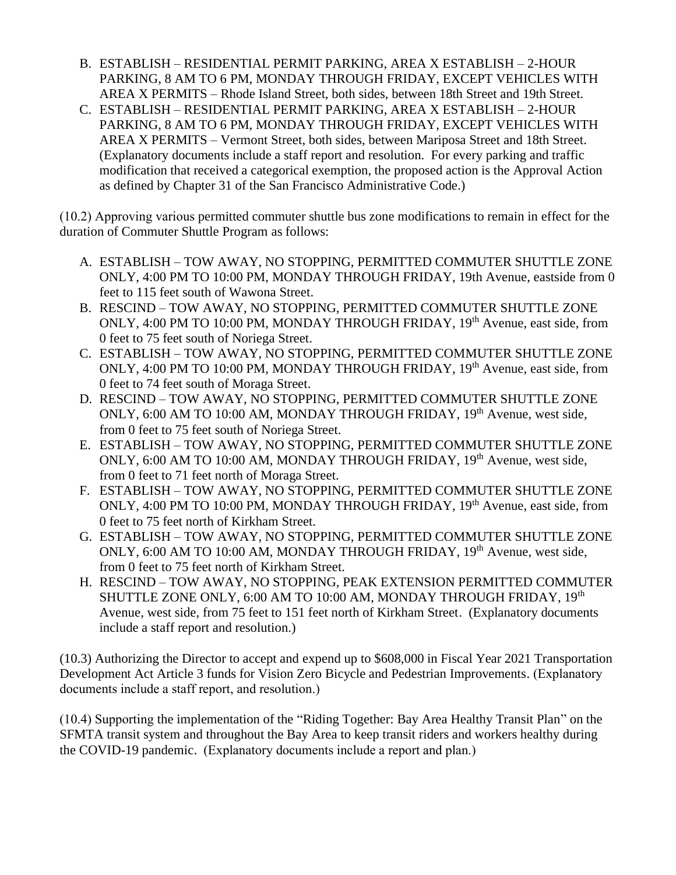- B. ESTABLISH RESIDENTIAL PERMIT PARKING, AREA X ESTABLISH 2-HOUR PARKING, 8 AM TO 6 PM, MONDAY THROUGH FRIDAY, EXCEPT VEHICLES WITH AREA X PERMITS – Rhode Island Street, both sides, between 18th Street and 19th Street.
- C. ESTABLISH RESIDENTIAL PERMIT PARKING, AREA X ESTABLISH 2-HOUR PARKING, 8 AM TO 6 PM, MONDAY THROUGH FRIDAY, EXCEPT VEHICLES WITH AREA X PERMITS – Vermont Street, both sides, between Mariposa Street and 18th Street. (Explanatory documents include a staff report and resolution. For every parking and traffic modification that received a categorical exemption, the proposed action is the Approval Action as defined by Chapter 31 of the San Francisco Administrative Code.)

(10.2) Approving various permitted commuter shuttle bus zone modifications to remain in effect for the duration of Commuter Shuttle Program as follows:

- A. ESTABLISH TOW AWAY, NO STOPPING, PERMITTED COMMUTER SHUTTLE ZONE ONLY, 4:00 PM TO 10:00 PM, MONDAY THROUGH FRIDAY, 19th Avenue, eastside from 0 feet to 115 feet south of Wawona Street.
- B. RESCIND TOW AWAY, NO STOPPING, PERMITTED COMMUTER SHUTTLE ZONE ONLY, 4:00 PM TO 10:00 PM, MONDAY THROUGH FRIDAY, 19<sup>th</sup> Avenue, east side, from 0 feet to 75 feet south of Noriega Street.
- C. ESTABLISH TOW AWAY, NO STOPPING, PERMITTED COMMUTER SHUTTLE ZONE ONLY, 4:00 PM TO 10:00 PM, MONDAY THROUGH FRIDAY, 19<sup>th</sup> Avenue, east side, from 0 feet to 74 feet south of Moraga Street.
- D. RESCIND TOW AWAY, NO STOPPING, PERMITTED COMMUTER SHUTTLE ZONE ONLY, 6:00 AM TO 10:00 AM, MONDAY THROUGH FRIDAY, 19<sup>th</sup> Avenue, west side, from 0 feet to 75 feet south of Noriega Street.
- E. ESTABLISH TOW AWAY, NO STOPPING, PERMITTED COMMUTER SHUTTLE ZONE ONLY, 6:00 AM TO 10:00 AM, MONDAY THROUGH FRIDAY, 19<sup>th</sup> Avenue, west side, from 0 feet to 71 feet north of Moraga Street.
- F. ESTABLISH TOW AWAY, NO STOPPING, PERMITTED COMMUTER SHUTTLE ZONE ONLY, 4:00 PM TO 10:00 PM, MONDAY THROUGH FRIDAY, 19<sup>th</sup> Avenue, east side, from 0 feet to 75 feet north of Kirkham Street.
- G. ESTABLISH TOW AWAY, NO STOPPING, PERMITTED COMMUTER SHUTTLE ZONE ONLY, 6:00 AM TO 10:00 AM, MONDAY THROUGH FRIDAY, 19<sup>th</sup> Avenue, west side, from 0 feet to 75 feet north of Kirkham Street.
- H. RESCIND TOW AWAY, NO STOPPING, PEAK EXTENSION PERMITTED COMMUTER SHUTTLE ZONE ONLY, 6:00 AM TO 10:00 AM, MONDAY THROUGH FRIDAY, 19<sup>th</sup> Avenue, west side, from 75 feet to 151 feet north of Kirkham Street. (Explanatory documents include a staff report and resolution.)

(10.3) Authorizing the Director to accept and expend up to \$608,000 in Fiscal Year 2021 Transportation Development Act Article 3 funds for Vision Zero Bicycle and Pedestrian Improvements. (Explanatory documents include a staff report, and resolution.)

(10.4) Supporting the implementation of the "Riding Together: Bay Area Healthy Transit Plan" on the SFMTA transit system and throughout the Bay Area to keep transit riders and workers healthy during the COVID-19 pandemic. (Explanatory documents include a report and plan.)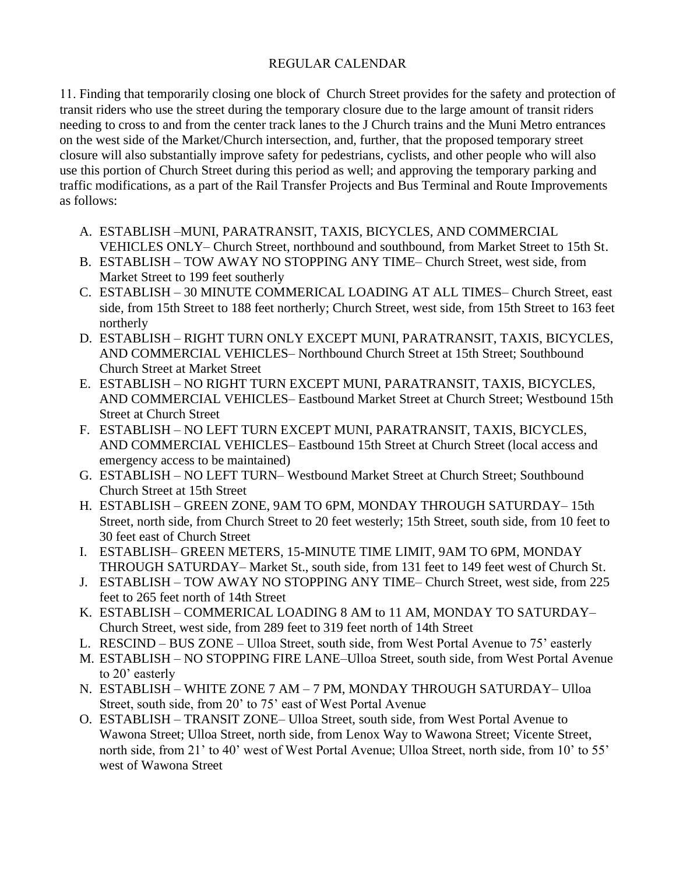# REGULAR CALENDAR

11. Finding that temporarily closing one block of Church Street provides for the safety and protection of transit riders who use the street during the temporary closure due to the large amount of transit riders needing to cross to and from the center track lanes to the J Church trains and the Muni Metro entrances on the west side of the Market/Church intersection, and, further, that the proposed temporary street closure will also substantially improve safety for pedestrians, cyclists, and other people who will also use this portion of Church Street during this period as well; and approving the temporary parking and traffic modifications, as a part of the Rail Transfer Projects and Bus Terminal and Route Improvements as follows:

- A. ESTABLISH –MUNI, PARATRANSIT, TAXIS, BICYCLES, AND COMMERCIAL VEHICLES ONLY– Church Street, northbound and southbound, from Market Street to 15th St.
- B. ESTABLISH TOW AWAY NO STOPPING ANY TIME– Church Street, west side, from Market Street to 199 feet southerly
- C. ESTABLISH 30 MINUTE COMMERICAL LOADING AT ALL TIMES– Church Street, east side, from 15th Street to 188 feet northerly; Church Street, west side, from 15th Street to 163 feet northerly
- D. ESTABLISH RIGHT TURN ONLY EXCEPT MUNI, PARATRANSIT, TAXIS, BICYCLES, AND COMMERCIAL VEHICLES– Northbound Church Street at 15th Street; Southbound Church Street at Market Street
- E. ESTABLISH NO RIGHT TURN EXCEPT MUNI, PARATRANSIT, TAXIS, BICYCLES, AND COMMERCIAL VEHICLES– Eastbound Market Street at Church Street; Westbound 15th Street at Church Street
- F. ESTABLISH NO LEFT TURN EXCEPT MUNI, PARATRANSIT, TAXIS, BICYCLES, AND COMMERCIAL VEHICLES– Eastbound 15th Street at Church Street (local access and emergency access to be maintained)
- G. ESTABLISH NO LEFT TURN– Westbound Market Street at Church Street; Southbound Church Street at 15th Street
- H. ESTABLISH GREEN ZONE, 9AM TO 6PM, MONDAY THROUGH SATURDAY– 15th Street, north side, from Church Street to 20 feet westerly; 15th Street, south side, from 10 feet to 30 feet east of Church Street
- I. ESTABLISH– GREEN METERS, 15-MINUTE TIME LIMIT, 9AM TO 6PM, MONDAY THROUGH SATURDAY– Market St., south side, from 131 feet to 149 feet west of Church St.
- J. ESTABLISH TOW AWAY NO STOPPING ANY TIME– Church Street, west side, from 225 feet to 265 feet north of 14th Street
- K. ESTABLISH COMMERICAL LOADING 8 AM to 11 AM, MONDAY TO SATURDAY– Church Street, west side, from 289 feet to 319 feet north of 14th Street
- L. RESCIND BUS ZONE Ulloa Street, south side, from West Portal Avenue to 75' easterly
- M. ESTABLISH NO STOPPING FIRE LANE–Ulloa Street, south side, from West Portal Avenue to 20' easterly
- N. ESTABLISH WHITE ZONE 7 AM 7 PM, MONDAY THROUGH SATURDAY– Ulloa Street, south side, from 20' to 75' east of West Portal Avenue
- O. ESTABLISH TRANSIT ZONE– Ulloa Street, south side, from West Portal Avenue to Wawona Street; Ulloa Street, north side, from Lenox Way to Wawona Street; Vicente Street, north side, from 21' to 40' west of West Portal Avenue; Ulloa Street, north side, from 10' to 55' west of Wawona Street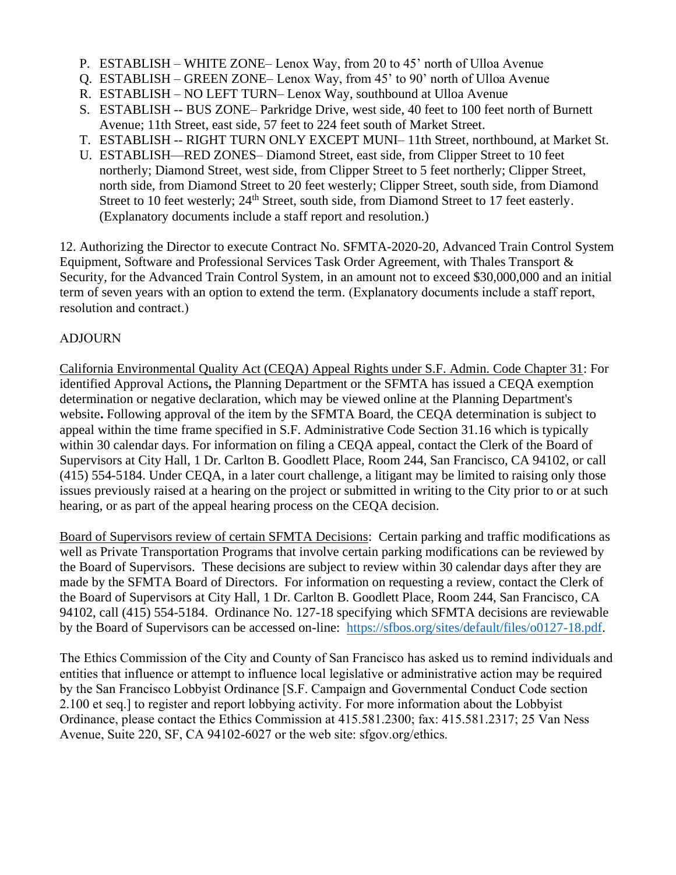- P. ESTABLISH WHITE ZONE– Lenox Way, from 20 to 45' north of Ulloa Avenue
- Q. ESTABLISH GREEN ZONE– Lenox Way, from 45' to 90' north of Ulloa Avenue
- R. ESTABLISH NO LEFT TURN– Lenox Way, southbound at Ulloa Avenue
- S. ESTABLISH -- BUS ZONE– Parkridge Drive, west side, 40 feet to 100 feet north of Burnett Avenue; 11th Street, east side, 57 feet to 224 feet south of Market Street.
- T. ESTABLISH -- RIGHT TURN ONLY EXCEPT MUNI– 11th Street, northbound, at Market St.
- U. ESTABLISH—RED ZONES– Diamond Street, east side, from Clipper Street to 10 feet northerly; Diamond Street, west side, from Clipper Street to 5 feet northerly; Clipper Street, north side, from Diamond Street to 20 feet westerly; Clipper Street, south side, from Diamond Street to 10 feet westerly;  $24<sup>th</sup>$  Street, south side, from Diamond Street to 17 feet easterly. (Explanatory documents include a staff report and resolution.)

12. Authorizing the Director to execute Contract No. SFMTA-2020-20, Advanced Train Control System Equipment, Software and Professional Services Task Order Agreement, with Thales Transport & Security, for the Advanced Train Control System, in an amount not to exceed \$30,000,000 and an initial term of seven years with an option to extend the term. (Explanatory documents include a staff report, resolution and contract.)

### ADJOURN

California Environmental Quality Act (CEQA) Appeal Rights under S.F. Admin. Code Chapter 31: For identified Approval Actions**,** the Planning Department or the SFMTA has issued a CEQA exemption determination or negative declaration, which may be viewed online at the Planning Department's website**.** Following approval of the item by the SFMTA Board, the CEQA determination is subject to appeal within the time frame specified in S.F. Administrative Code Section 31.16 which is typically within 30 calendar days. For information on filing a CEQA appeal, contact the Clerk of the Board of Supervisors at City Hall, 1 Dr. Carlton B. Goodlett Place, Room 244, San Francisco, CA 94102, or call (415) 554-5184. Under CEQA, in a later court challenge, a litigant may be limited to raising only those issues previously raised at a hearing on the project or submitted in writing to the City prior to or at such hearing, or as part of the appeal hearing process on the CEQA decision.

Board of Supervisors review of certain SFMTA Decisions: Certain parking and traffic modifications as well as Private Transportation Programs that involve certain parking modifications can be reviewed by the Board of Supervisors. These decisions are subject to review within 30 calendar days after they are made by the SFMTA Board of Directors. For information on requesting a review, contact the Clerk of the Board of Supervisors at City Hall, 1 Dr. Carlton B. Goodlett Place, Room 244, San Francisco, CA 94102, call (415) 554-5184. Ordinance No. 127-18 specifying which SFMTA decisions are reviewable by the Board of Supervisors can be accessed on-line: [https://sfbos.org/sites/default/files/o0127-18.pdf.](https://sfbos.org/sites/default/files/o0127-18.pdf)

The Ethics Commission of the City and County of San Francisco has asked us to remind individuals and entities that influence or attempt to influence local legislative or administrative action may be required by the San Francisco Lobbyist Ordinance [S.F. Campaign and Governmental Conduct Code section 2.100 et seq.] to register and report lobbying activity. For more information about the Lobbyist Ordinance, please contact the Ethics Commission at 415.581.2300; fax: 415.581.2317; 25 Van Ness Avenue, Suite 220, SF, CA 94102-6027 or the web site: sfgov.org/ethics.